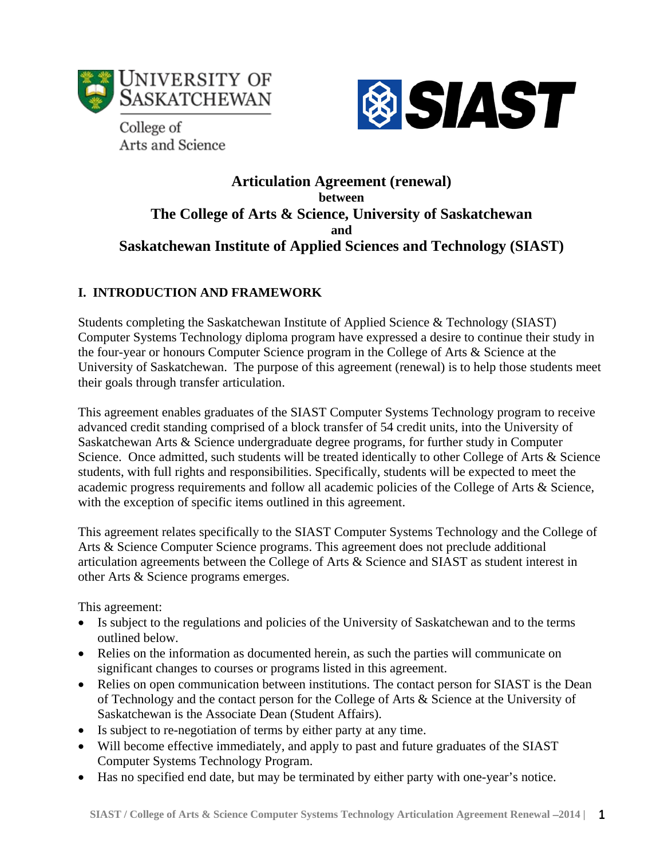

**®SIAST** 

College of Arts and Science

# **Articulation Agreement (renewal) between The College of Arts & Science, University of Saskatchewan and Saskatchewan Institute of Applied Sciences and Technology (SIAST)**

## **I. INTRODUCTION AND FRAMEWORK**

Students completing the Saskatchewan Institute of Applied Science & Technology (SIAST) Computer Systems Technology diploma program have expressed a desire to continue their study in the four-year or honours Computer Science program in the College of Arts & Science at the University of Saskatchewan. The purpose of this agreement (renewal) is to help those students meet their goals through transfer articulation.

This agreement enables graduates of the SIAST Computer Systems Technology program to receive advanced credit standing comprised of a block transfer of 54 credit units, into the University of Saskatchewan Arts & Science undergraduate degree programs, for further study in Computer Science. Once admitted, such students will be treated identically to other College of Arts & Science students, with full rights and responsibilities. Specifically, students will be expected to meet the academic progress requirements and follow all academic policies of the College of Arts & Science, with the exception of specific items outlined in this agreement.

This agreement relates specifically to the SIAST Computer Systems Technology and the College of Arts & Science Computer Science programs. This agreement does not preclude additional articulation agreements between the College of Arts & Science and SIAST as student interest in other Arts & Science programs emerges.

This agreement:

- Is subject to the regulations and policies of the University of Saskatchewan and to the terms outlined below.
- Relies on the information as documented herein, as such the parties will communicate on significant changes to courses or programs listed in this agreement.
- Relies on open communication between institutions. The contact person for SIAST is the Dean of Technology and the contact person for the College of Arts & Science at the University of Saskatchewan is the Associate Dean (Student Affairs).
- Is subject to re-negotiation of terms by either party at any time.
- Will become effective immediately, and apply to past and future graduates of the SIAST Computer Systems Technology Program.
- Has no specified end date, but may be terminated by either party with one-year's notice.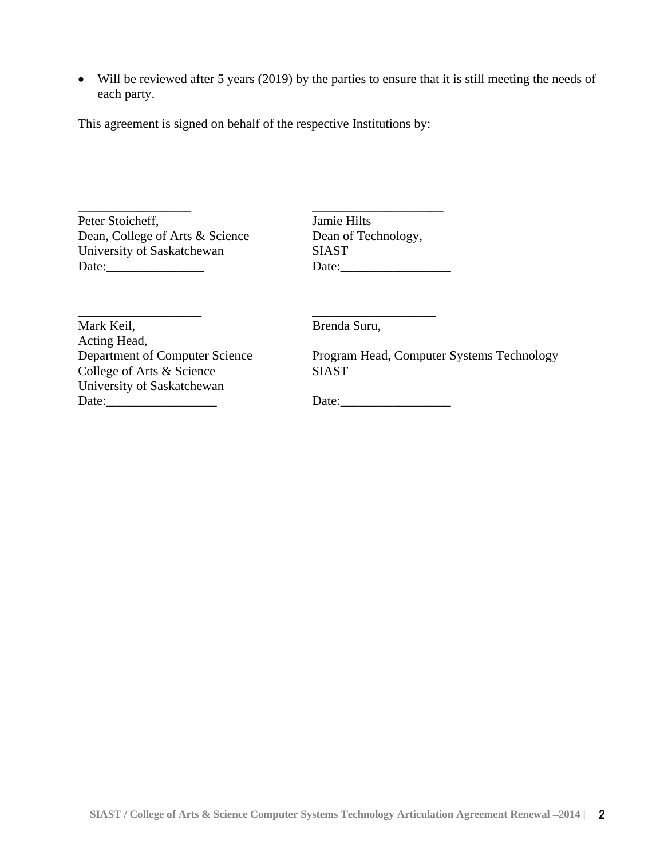• Will be reviewed after 5 years (2019) by the parties to ensure that it is still meeting the needs of each party.

This agreement is signed on behalf of the respective Institutions by:

\_\_\_\_\_\_\_\_\_\_\_\_\_\_\_\_\_\_\_ \_\_\_\_\_\_\_\_\_\_\_\_\_\_\_\_\_\_\_\_\_\_ Peter Stoicheff, Jamie Hilts Dean, College of Arts & Science Dean of Technology,<br>University of Saskatchewan SIAST University of Saskatchewan<br>Date:

Date:\_\_\_\_\_\_\_\_\_\_\_\_\_\_\_ Date:\_\_\_\_\_\_\_\_\_\_\_\_\_\_\_\_\_

\_\_\_\_\_\_\_\_\_\_\_\_\_\_\_\_\_\_\_ \_\_\_\_\_\_\_\_\_\_\_\_\_\_\_\_\_\_\_ Mark Keil, Brenda Suru, Acting Head,<br>Department of Computer Science College of Arts & Science SIAST University of Saskatchewan Date:\_\_\_\_\_\_\_\_\_\_\_\_\_\_\_\_\_ Date:\_\_\_\_\_\_\_\_\_\_\_\_\_\_\_\_\_

Program Head, Computer Systems Technology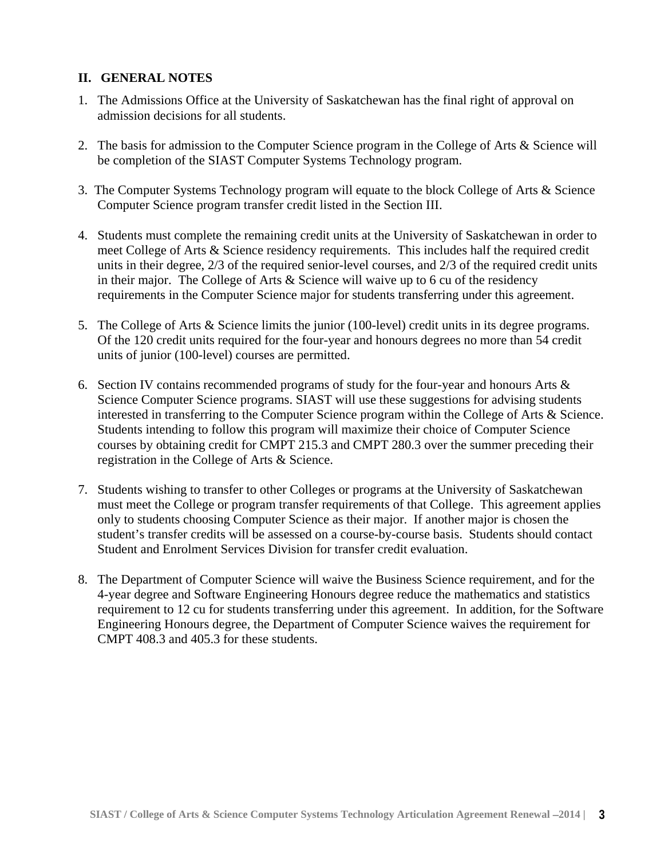#### **II. GENERAL NOTES**

- 1. The Admissions Office at the University of Saskatchewan has the final right of approval on admission decisions for all students.
- 2. The basis for admission to the Computer Science program in the College of Arts & Science will be completion of the SIAST Computer Systems Technology program.
- 3. The Computer Systems Technology program will equate to the block College of Arts & Science Computer Science program transfer credit listed in the Section III.
- 4. Students must complete the remaining credit units at the University of Saskatchewan in order to meet College of Arts & Science residency requirements. This includes half the required credit units in their degree, 2/3 of the required senior-level courses, and 2/3 of the required credit units in their major. The College of Arts & Science will waive up to 6 cu of the residency requirements in the Computer Science major for students transferring under this agreement.
- 5. The College of Arts & Science limits the junior (100-level) credit units in its degree programs. Of the 120 credit units required for the four-year and honours degrees no more than 54 credit units of junior (100-level) courses are permitted.
- 6. Section IV contains recommended programs of study for the four-year and honours Arts & Science Computer Science programs. SIAST will use these suggestions for advising students interested in transferring to the Computer Science program within the College of Arts & Science. Students intending to follow this program will maximize their choice of Computer Science courses by obtaining credit for CMPT 215.3 and CMPT 280.3 over the summer preceding their registration in the College of Arts & Science.
- 7. Students wishing to transfer to other Colleges or programs at the University of Saskatchewan must meet the College or program transfer requirements of that College. This agreement applies only to students choosing Computer Science as their major. If another major is chosen the student's transfer credits will be assessed on a course-by-course basis. Students should contact Student and Enrolment Services Division for transfer credit evaluation.
- 8. The Department of Computer Science will waive the Business Science requirement, and for the 4-year degree and Software Engineering Honours degree reduce the mathematics and statistics requirement to 12 cu for students transferring under this agreement. In addition, for the Software Engineering Honours degree, the Department of Computer Science waives the requirement for CMPT 408.3 and 405.3 for these students.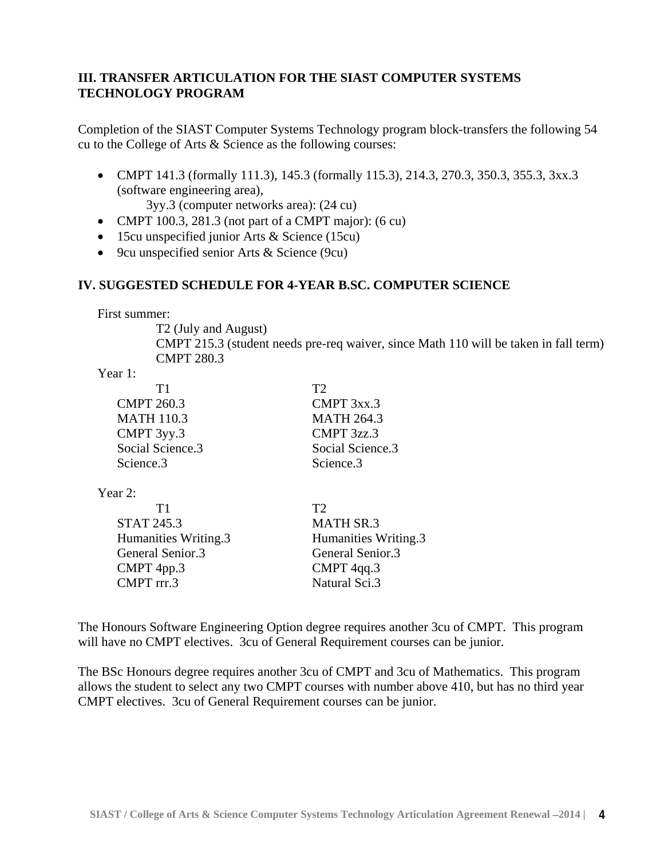### **III. TRANSFER ARTICULATION FOR THE SIAST COMPUTER SYSTEMS TECHNOLOGY PROGRAM**

Completion of the SIAST Computer Systems Technology program block-transfers the following 54 cu to the College of Arts & Science as the following courses:

• CMPT 141.3 (formally 111.3), 145.3 (formally 115.3), 214.3, 270.3, 350.3, 355.3, 3xx.3 (software engineering area),

3yy.3 (computer networks area): (24 cu)

- CMPT 100.3, 281.3 (not part of a CMPT major):  $(6 \text{ cu})$
- 15cu unspecified junior Arts & Science (15cu)
- 9cu unspecified senior Arts & Science (9cu)

#### **IV. SUGGESTED SCHEDULE FOR 4-YEAR B.SC. COMPUTER SCIENCE**

First summer:

T2 (July and August) CMPT 215.3 (student needs pre-req waiver, since Math 110 will be taken in fall term) CMPT 280.3

Year 1:

| T1                | T2                |
|-------------------|-------------------|
| <b>CMPT 260.3</b> | CMPT 3xx.3        |
| <b>MATH 110.3</b> | <b>MATH 264.3</b> |
| CMPT 3yy.3        | CMPT 3zz.3        |
| Social Science.3  | Social Science.3  |
| Science.3         | Science.3         |
|                   |                   |

Year 2:

| Τ1                   | Т7                   |
|----------------------|----------------------|
| <b>STAT 245.3</b>    | <b>MATH SR.3</b>     |
| Humanities Writing.3 | Humanities Writing.3 |
| General Senior.3     | General Senior.3     |
| CMPT 4pp.3           | CMPT 4qq.3           |
| CMPT rrr.3           | Natural Sci.3        |

The Honours Software Engineering Option degree requires another 3cu of CMPT. This program will have no CMPT electives. 3cu of General Requirement courses can be junior.

The BSc Honours degree requires another 3cu of CMPT and 3cu of Mathematics. This program allows the student to select any two CMPT courses with number above 410, but has no third year CMPT electives. 3cu of General Requirement courses can be junior.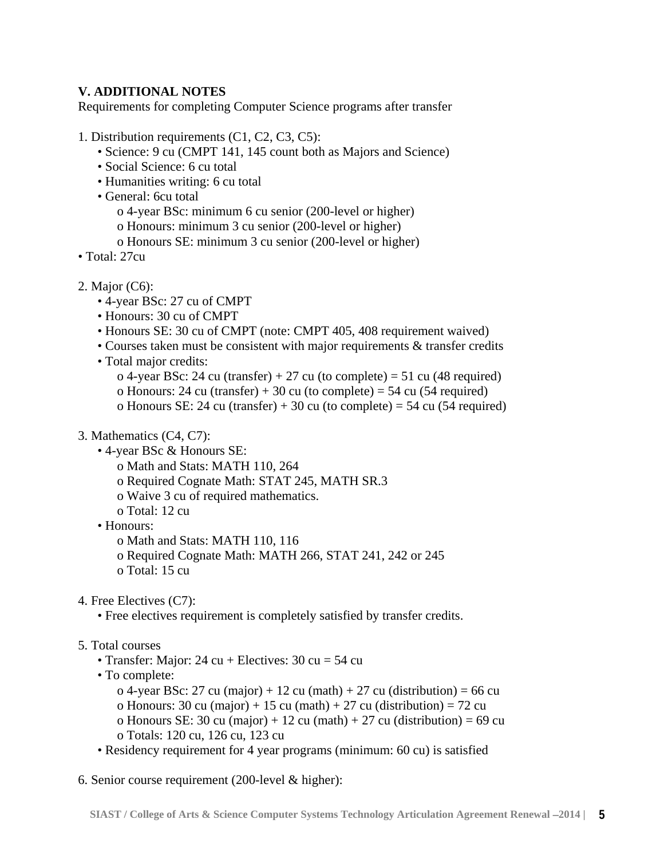## **V. ADDITIONAL NOTES**

Requirements for completing Computer Science programs after transfer

- 1. Distribution requirements (C1, C2, C3, C5):
	- Science: 9 cu (CMPT 141, 145 count both as Majors and Science)
	- Social Science: 6 cu total
	- Humanities writing: 6 cu total
	- General: 6cu total
		- o 4-year BSc: minimum 6 cu senior (200-level or higher)
		- o Honours: minimum 3 cu senior (200-level or higher)
		- o Honours SE: minimum 3 cu senior (200-level or higher)
- Total: 27cu
- 2. Major (C6):
	- 4-year BSc: 27 cu of CMPT
	- Honours: 30 cu of CMPT
	- Honours SE: 30 cu of CMPT (note: CMPT 405, 408 requirement waived)
	- Courses taken must be consistent with major requirements & transfer credits
	- Total major credits:
		- o 4-year BSc: 24 cu (transfer) + 27 cu (to complete) = 51 cu (48 required)
		- o Honours: 24 cu (transfer) + 30 cu (to complete) = 54 cu (54 required)
		- o Honours SE: 24 cu (transfer) + 30 cu (to complete) = 54 cu (54 required)
- 3. Mathematics (C4, C7):
	- 4-year BSc & Honours SE:
		- o Math and Stats: MATH 110, 264
		- o Required Cognate Math: STAT 245, MATH SR.3
		- o Waive 3 cu of required mathematics.
		- o Total: 12 cu
	- Honours:
		- o Math and Stats: MATH 110, 116
		- o Required Cognate Math: MATH 266, STAT 241, 242 or 245
		- o Total: 15 cu
- 4. Free Electives (C7):
	- Free electives requirement is completely satisfied by transfer credits.
- 5. Total courses
	- Transfer: Major:  $24 \text{ cu} +$  Electives:  $30 \text{ cu} = 54 \text{ cu}$
	- To complete:

o 4-year BSc: 27 cu (major) + 12 cu (math) + 27 cu (distribution) = 66 cu o Honours: 30 cu (major) + 15 cu (math) + 27 cu (distribution) = 72 cu o Honours SE: 30 cu (major) + 12 cu (math) + 27 cu (distribution) = 69 cu o Totals: 120 cu, 126 cu, 123 cu

- Residency requirement for 4 year programs (minimum: 60 cu) is satisfied
- 6. Senior course requirement (200-level & higher):